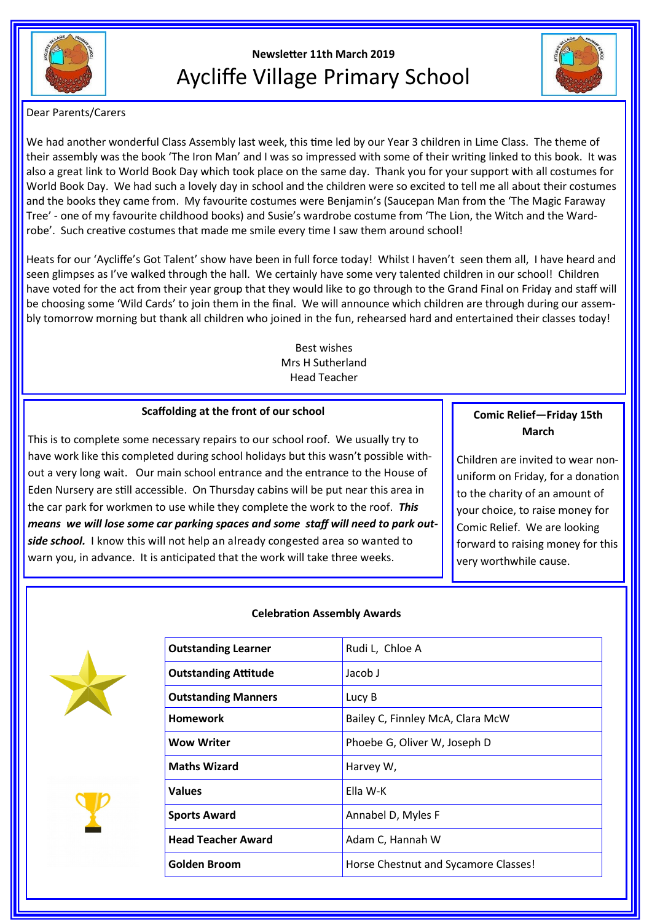

# **Newsletter 11th March 2019** Aycliffe Village Primary School



Dear Parents/Carers

We had another wonderful Class Assembly last week, this time led by our Year 3 children in Lime Class. The theme of their assembly was the book 'The Iron Man' and I was so impressed with some of their writing linked to this book. It was also a great link to World Book Day which took place on the same day. Thank you for your support with all costumes for World Book Day. We had such a lovely day in school and the children were so excited to tell me all about their costumes and the books they came from. My favourite costumes were Benjamin's (Saucepan Man from the 'The Magic Faraway Tree' - one of my favourite childhood books) and Susie's wardrobe costume from 'The Lion, the Witch and the Wardrobe'. Such creative costumes that made me smile every time I saw them around school!

Heats for our 'Aycliffe's Got Talent' show have been in full force today! Whilst I haven't seen them all, I have heard and seen glimpses as I've walked through the hall. We certainly have some very talented children in our school! Children have voted for the act from their year group that they would like to go through to the Grand Final on Friday and staff will be choosing some 'Wild Cards' to join them in the final. We will announce which children are through during our assembly tomorrow morning but thank all children who joined in the fun, rehearsed hard and entertained their classes today!

> Best wishes Mrs H Sutherland Head Teacher

#### **Scaffolding at the front of our school**

This is to complete some necessary repairs to our school roof. We usually try to have work like this completed during school holidays but this wasn't possible without a very long wait. Our main school entrance and the entrance to the House of Eden Nursery are still accessible. On Thursday cabins will be put near this area in the car park for workmen to use while they complete the work to the roof. *This means we will lose some car parking spaces and some staff will need to park outside school.* I know this will not help an already congested area so wanted to warn you, in advance. It is anticipated that the work will take three weeks.

## **Comic Relief—Friday 15th March**

Children are invited to wear nonuniform on Friday, for a donation to the charity of an amount of your choice, to raise money for Comic Relief. We are looking forward to raising money for this very worthwhile cause.



#### **Celebration Assembly Awards**

| Rudi L, Chloe A                      |
|--------------------------------------|
| Jacob J                              |
| Lucy B                               |
| Bailey C, Finnley McA, Clara McW     |
| Phoebe G, Oliver W, Joseph D         |
| Harvey W,                            |
| Ella W-K                             |
| Annabel D, Myles F                   |
| Adam C, Hannah W                     |
| Horse Chestnut and Sycamore Classes! |
|                                      |